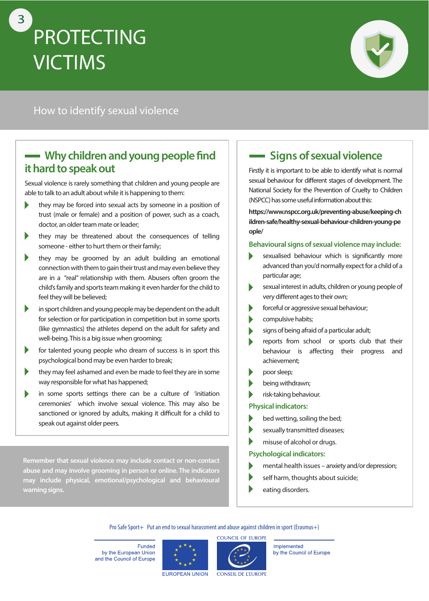# **PROTECTING VICTIMS** 3



### How to identify sexual violence

### **Why children and young people find it hard to speak out**

Sexual violence is rarely something that children and young people are able to talk to an adult about while it is happening to them:

- $\blacktriangleright$ they may be forced into sexual acts by someone in a position of trust (male or female) and a position of power, such as a coach, doctor, an older team mate or leader;
- $\blacktriangleright$ they may be threatened about the consequences of telling someone - either to hurt them or their family;
- Þ they may be groomed by an adult building an emotional connection with them to gain their trust and may even believe they are in a "real" relationship with them. Abusers often groom the child's family and sports team making it even harder for the child to feel they will be believed;
- $\blacktriangleright$ in sport children and young people may be dependent on the adult for selection or for participation in competition but in some sports (like gymnastics) the athletes depend on the adult for safety and well-being. This is a big issue when grooming;
- $\blacktriangleright$ for talented young people who dream of success is in sport this psychological bond may be even harder to break;
- $\blacktriangleright$ they may feel ashamed and even be made to feel they are in some way responsible for what has happened;
- in some sports settings there can be a culture of 'initiation ceremonies' which involve sexual violence. This may also be sanctioned or ignored by adults, making it difficult for a child to speak out against older peers.

**Remember that sexual violence may include contact or non-contact abuse and may involve grooming in person or online. The indicators may include physical, emotional/psychological and behavioural warning signs.**

# **- Signs of sexual violence**

Firstly it is important to be able to identify what is normal sexual behaviour for different stages of development. The National Society for the Prevention of Cruelty to Children (NSPCC) has some useful information about this:

**[https://www.nspcc.org.uk/preventing-abuse/keeping-ch](https://www.nspcc.org.uk/preventing-abuse/keeping-children-safe/healthy-sexual-behaviour-children-young-people/) ildren-safe/healthy-sexual-behaviour-children-young-pe ople/**

#### **Behavioural signs of sexual violence may include:**

- Ь sexualised behaviour which is significantly more advanced than you'd normally expect for a child of a particular age;
- sexual interest in adults, children or young people of Ь very different ages to their own;
- $\blacktriangleright$ forceful or aggressive sexual behaviour;
- compulsive habits;
- signs of being afraid of a particular adult;  $\blacktriangleright$
- reports from school or sports club that their behaviour is affecting their progress and achievement;
- poor sleep;
- being withdrawn;
- risk-taking behaviour.

#### **Physical indicators:**

- bed wetting, soiling the bed;
- sexually transmitted diseases;
- misuse of alcohol or drugs.

#### **Psychological indicators:**

- mental health issues anxiety and/or depression;
- self harm, thoughts about suicide;
- eating disorders.

Pro Safe Sport+ Put an end to sexual harassment and abuse against children in sport (Erasmus+)

Funded by the European Union and the Council of Europe





Implemented by the Council of Europe

EUROPEAN UNION